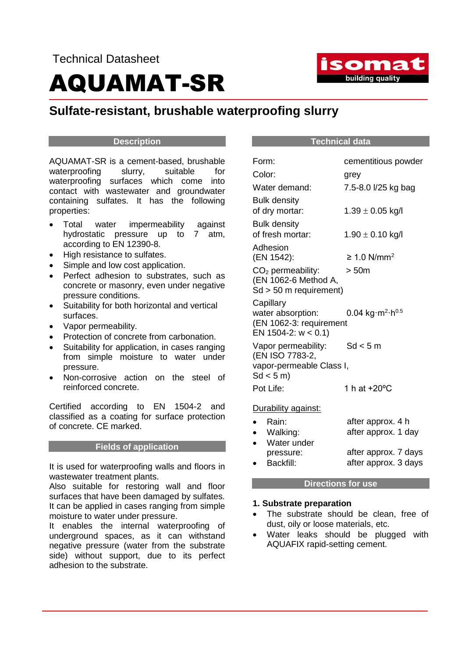

### **Sulfate-resistant, brushable waterproofing slurry**

#### **Description**

AQUAMAT-SR is a cement-based, brushable waterproofing slurry, suitable for waterproofing surfaces which come into contact with wastewater and groundwater containing sulfates. It has the following properties:

- Total water impermeability against hydrostatic pressure up to 7 atm, according to EN 12390-8.
- High resistance to sulfates.
- Simple and low cost application.
- Perfect adhesion to substrates, such as concrete or masonry, even under negative pressure conditions.
- Suitability for both horizontal and vertical surfaces.
- Vapor permeability.
- Protection of concrete from carbonation.
- Suitability for application, in cases ranging from simple moisture to water under pressure.
- Non-corrosive action on the steel of reinforced concrete.

Certified according to EN 1504-2 and classified as a coating for surface protection of concrete. CE marked.

#### **Fields of application**

It is used for waterproofing walls and floors in wastewater treatment plants.

Also suitable for restoring wall and floor surfaces that have been damaged by sulfates. It can be applied in cases ranging from simple moisture to water under pressure.

It enables the internal waterproofing of underground spaces, as it can withstand negative pressure (water from the substrate side) without support, due to its perfect adhesion to the substrate.

#### **Technical data**

| Form:                                            | cementitious powder          |  |
|--------------------------------------------------|------------------------------|--|
| Color:                                           | grey                         |  |
| Water demand:                                    | 7.5-8.0 l/25 kg bag          |  |
| <b>Bulk density</b>                              |                              |  |
| of dry mortar:                                   | $1.39 \pm 0.05$ kg/l         |  |
| <b>Bulk density</b>                              |                              |  |
| of fresh mortar:                                 | $1.90 \pm 0.10$ kg/l         |  |
| Adhesion                                         |                              |  |
| (EN 1542):                                       | $\geq 1.0$ N/mm <sup>2</sup> |  |
| $CO2$ permeability:                              | >50m                         |  |
| (EN 1062-6 Method A,<br>$Sd > 50$ m requirement) |                              |  |
| Capillary                                        |                              |  |
| water absorption:                                | 0.04 kg $m^2 h^{0.5}$        |  |
| (EN 1062-3: requirement                          |                              |  |
| EN 1504-2: $w < 0.1$ )                           |                              |  |
| Vapor permeability:                              | Sd < 5m                      |  |
| (EN ISO 7783-2,                                  |                              |  |
| vapor-permeable Class I,<br>Sd < 5m              |                              |  |
| Pot Life:                                        | 1 h at +20°C                 |  |
|                                                  |                              |  |
| Durability against:                              |                              |  |
| Rain:<br>$\bullet$                               | after approx. 4 h            |  |
| Walking:<br>$\bullet$                            | after approx. 1 day          |  |
| Water under                                      |                              |  |
| pressure:                                        | after approx. 7 days         |  |
| Backfill:                                        | after approx. 3 days         |  |

#### **Directions for use**

#### **1. Substrate preparation**

- The substrate should be clean, free of dust, oily or loose materials, etc.
- Water leaks should be plugged with AQUAFIX rapid-setting cement.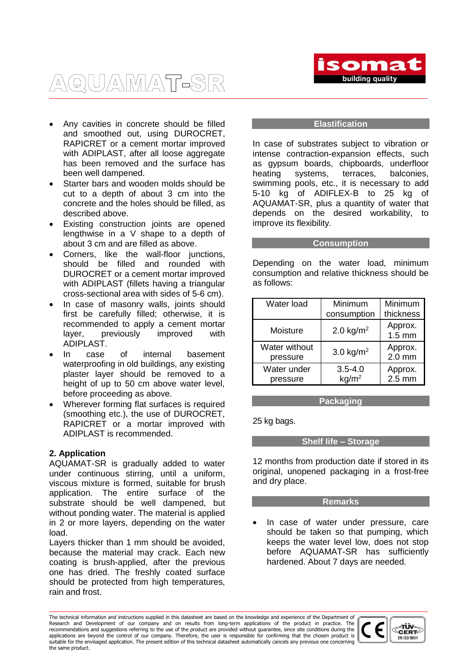

## AQUAMAT-SR

- Any cavities in concrete should be filled and smoothed out, using DUROCRET, RAPICRET or a cement mortar improved with ADIPLAST, after all loose aggregate has been removed and the surface has been well dampened.
- Starter bars and wooden molds should be cut to a depth of about 3 cm into the concrete and the holes should be filled, as described above.
- Existing construction joints are opened lengthwise in a V shape to a depth of about 3 cm and are filled as above.
- Corners, like the wall-floor junctions, should be filled and rounded with DUROCRET or a cement mortar improved with ADIPLAST (fillets having a triangular cross-sectional area with sides of 5-6 cm).
- In case of masonry walls, joints should first be carefully filled; otherwise, it is recommended to apply a cement mortar layer, previously improved with ADIPLAST.
- In case of internal basement waterproofing in old buildings, any existing plaster layer should be removed to a height of up to 50 cm above water level, before proceeding as above.
- Wherever forming flat surfaces is required (smoothing etc.), the use of DUROCRET, RAPICRET or a mortar improved with ADIPLAST is recommended.

#### **2. Application**

AQUAMAT-SR is gradually added to water under continuous stirring, until a uniform, viscous mixture is formed, suitable for brush application. The entire surface of the substrate should be well dampened, but without ponding water. The material is applied in 2 or more layers, depending on the water load.

Layers thicker than 1 mm should be avoided, because the material may crack. Each new coating is brush-applied, after the previous one has dried. The freshly coated surface should be protected from high temperatures, rain and frost.

#### **Elastification**

In case of substrates subject to vibration or intense contraction-expansion effects, such as gypsum boards, chipboards, underfloor heating systems, terraces, balconies, swimming pools, etc., it is necessary to add 5-10 kg of ADIFLEX-B to 25 kg of AQUAMAT-SR, plus a quantity of water that depends on the desired workability, to improve its flexibility.

#### **Consumption**

Depending on the water load, minimum consumption and relative thickness should be as follows:

| Water load                | Minimum<br>consumption           | Minimum<br>thickness        |
|---------------------------|----------------------------------|-----------------------------|
| Moisture                  | 2.0 $kg/m2$                      | Approx.<br>$1.5 \text{ mm}$ |
| Water without<br>pressure | 3.0 $kg/m2$                      | Approx.<br>$2.0$ mm         |
| Water under<br>pressure   | $3.5 - 4.0$<br>kg/m <sup>2</sup> | Approx.<br>$2.5 \text{ mm}$ |

**Packaging**

25 kg bags.

#### **Shelf life – Storage**

12 months from production date if stored in its original, unopened packaging in a frost-free and dry place.

#### **Remarks**

 In case of water under pressure, care should be taken so that pumping, which keeps the water level low, does not stop before AQUAMAT-SR has sufficiently hardened. About 7 days are needed.